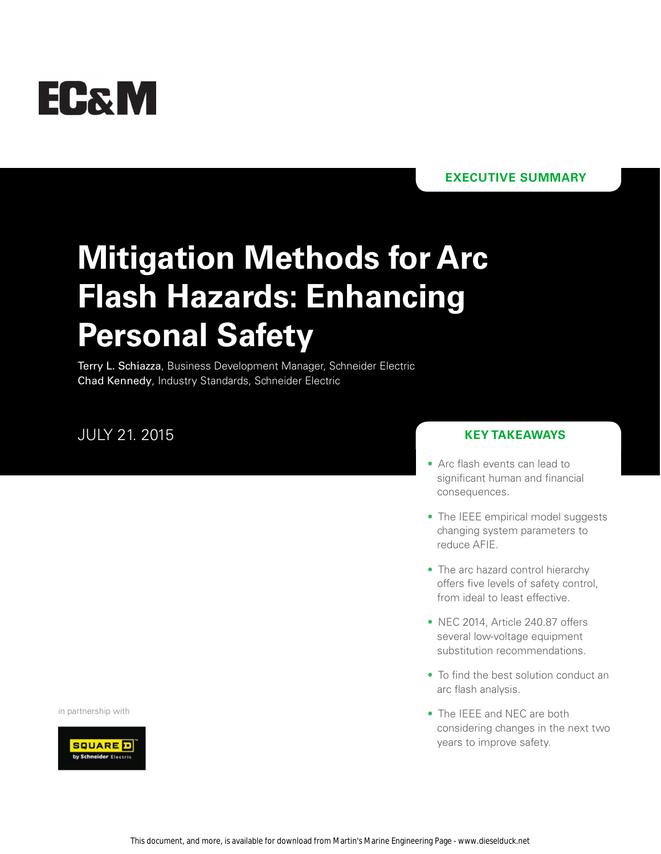# **EC&M**

### **executive summary**

# **Mitigation Methods for Arc Flash Hazards: Enhancing Personal Safety**

Terry L. Schiazza, Business Development Manager, Schneider Electric Chad Kennedy, Industry Standards, Schneider Electric

### July 21. 2015

#### **key takeaways**

- Arc flash events can lead to significant human and financial consequences.
- The IEEE empirical model suggests changing system parameters to reduce AFIE.
- The arc hazard control hierarchy offers five levels of safety control, from ideal to least effective.
- NEC 2014, Article 240.87 offers several low-voltage equipment substitution recommendations.
- To find the best solution conduct an arc flash analysis.
- The IEEE and NEC are both considering changes in the next two years to improve safety.

in partnership with

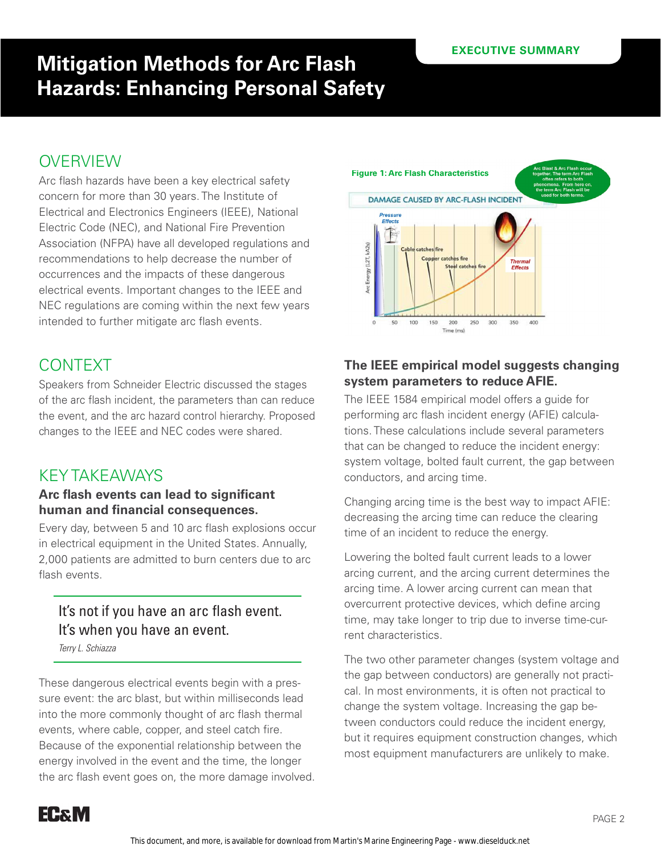# **OVERVIEW**

Arc flash hazards have been a key electrical safety concern for more than 30 years. The Institute of Electrical and Electronics Engineers (IEEE), National Electric Code (NEC), and National Fire Prevention Association (NFPA) have all developed regulations and recommendations to help decrease the number of occurrences and the impacts of these dangerous electrical events. Important changes to the IEEE and NEC regulations are coming within the next few years intended to further mitigate arc flash events.

# **CONTEXT**

Speakers from Schneider Electric discussed the stages of the arc flash incident, the parameters than can reduce the event, and the arc hazard control hierarchy. Proposed changes to the IEEE and NEC codes were shared.

## Key Takeaways

#### **Arc flash events can lead to significant human and financial consequences.**

Every day, between 5 and 10 arc flash explosions occur in electrical equipment in the United States. Annually, 2,000 patients are admitted to burn centers due to arc flash events.

### It's not if you have an arc flash event. It's when you have an event.

*Terry L. Schiazza*

These dangerous electrical events begin with a pressure event: the arc blast, but within milliseconds lead into the more commonly thought of arc flash thermal events, where cable, copper, and steel catch fire. Because of the exponential relationship between the energy involved in the event and the time, the longer the arc flash event goes on, the more damage involved.



### **The IEEE empirical model suggests changing system parameters to reduce AFIE.**

The IEEE 1584 empirical model offers a guide for performing arc flash incident energy (AFIE) calculations. These calculations include several parameters that can be changed to reduce the incident energy: system voltage, bolted fault current, the gap between conductors, and arcing time.

Changing arcing time is the best way to impact AFIE: decreasing the arcing time can reduce the clearing time of an incident to reduce the energy.

Lowering the bolted fault current leads to a lower arcing current, and the arcing current determines the arcing time. A lower arcing current can mean that overcurrent protective devices, which define arcing time, may take longer to trip due to inverse time-current characteristics.

The two other parameter changes (system voltage and the gap between conductors) are generally not practical. In most environments, it is often not practical to change the system voltage. Increasing the gap between conductors could reduce the incident energy, but it requires equipment construction changes, which most equipment manufacturers are unlikely to make.

**EC&M**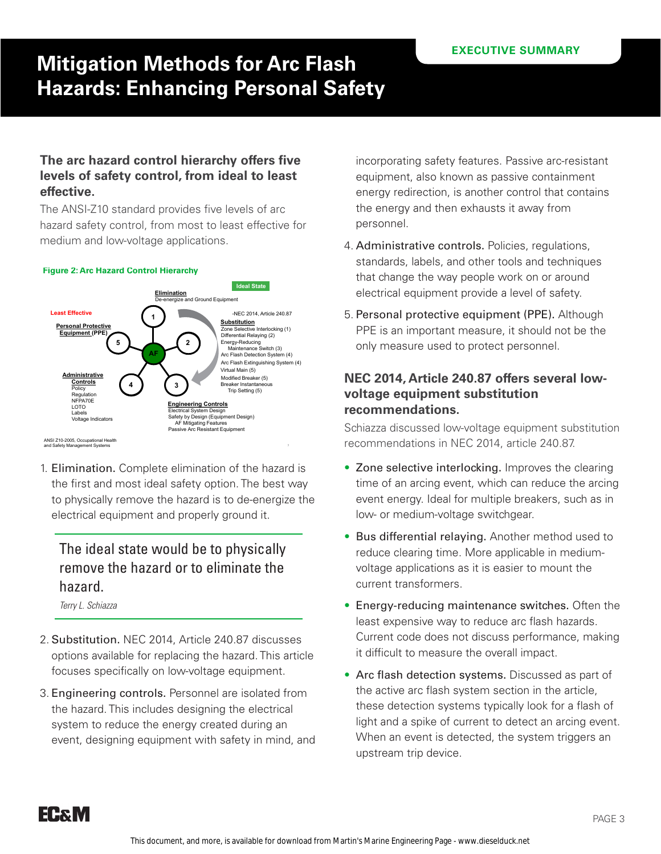#### **The arc hazard control hierarchy offers five levels of safety control, from ideal to least effective.**

The ANSI-Z10 standard provides five levels of arc hazard safety control, from most to least effective for medium and low-voltage applications.

### Arc Hazard Control Hierarchy **Figure 2: Arc Hazard Control Hierarchy**



ANSI Z10-2005, Occupational Health and Safety Management Systems

1. Elimination. Complete elimination of the hazard is the first and most ideal safety option. The best way to physically remove the hazard is to de-energize the electrical equipment and properly ground it.

### The ideal state would be to physically remove the hazard or to eliminate the hazard.

*Terry L. Schiazza*

- 2. Substitution. NEC 2014, Article 240.87 discusses options available for replacing the hazard. This article focuses specifically on low-voltage equipment.
- 3. Engineering controls. Personnel are isolated from the hazard. This includes designing the electrical system to reduce the energy created during an event, designing equipment with safety in mind, and

incorporating safety features. Passive arc-resistant equipment, also known as passive containment energy redirection, is another control that contains the energy and then exhausts it away from personnel.

- 4. Administrative controls. Policies, regulations, standards, labels, and other tools and techniques that change the way people work on or around electrical equipment provide a level of safety.
- 5. Personal protective equipment (PPE). Although PPE is an important measure, it should not be the only measure used to protect personnel.

#### **NEC 2014, Article 240.87 offers several lowvoltage equipment substitution recommendations.**

Schiazza discussed low-voltage equipment substitution recommendations in NEC 2014, article 240.87.

- Zone selective interlocking. Improves the clearing time of an arcing event, which can reduce the arcing event energy. Ideal for multiple breakers, such as in low- or medium-voltage switchgear.
- Bus differential relaying. Another method used to reduce clearing time. More applicable in mediumvoltage applications as it is easier to mount the current transformers.
- Energy-reducing maintenance switches. Often the least expensive way to reduce arc flash hazards. Current code does not discuss performance, making it difficult to measure the overall impact.
- Arc flash detection systems. Discussed as part of the active arc flash system section in the article, these detection systems typically look for a flash of light and a spike of current to detect an arcing event. When an event is detected, the system triggers an upstream trip device.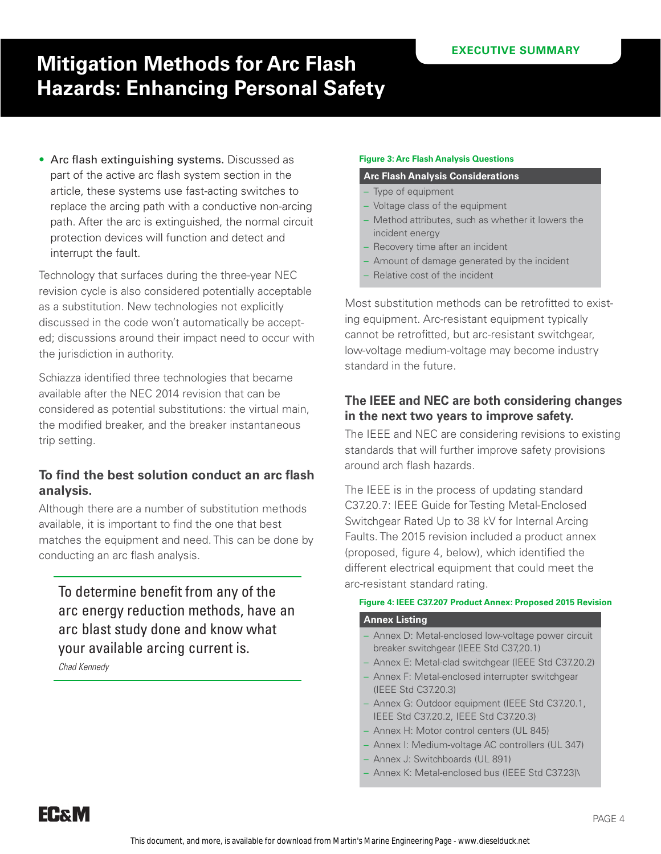• Arc flash extinguishing systems. Discussed as part of the active arc flash system section in the article, these systems use fast-acting switches to replace the arcing path with a conductive non-arcing path. After the arc is extinguished, the normal circuit protection devices will function and detect and interrupt the fault.

Technology that surfaces during the three-year NEC revision cycle is also considered potentially acceptable as a substitution. New technologies not explicitly discussed in the code won't automatically be accepted; discussions around their impact need to occur with the jurisdiction in authority.

Schiazza identified three technologies that became available after the NEC 2014 revision that can be considered as potential substitutions: the virtual main, the modified breaker, and the breaker instantaneous trip setting.

#### **To find the best solution conduct an arc flash analysis.**

Although there are a number of substitution methods available, it is important to find the one that best matches the equipment and need. This can be done by conducting an arc flash analysis.

To determine benefit from any of the arc energy reduction methods, have an arc blast study done and know what your available arcing current is.

*Chad Kennedy*

#### **Figure 3: Arc Flash Analysis Questions**

#### **Arc Flash Analysis Considerations**

- Type of equipment
- Voltage class of the equipment
- Method attributes, such as whether it lowers the incident energy
- Recovery time after an incident
- Amount of damage generated by the incident
- Relative cost of the incident

Most substitution methods can be retrofitted to existing equipment. Arc-resistant equipment typically cannot be retrofitted, but arc-resistant switchgear, low-voltage medium-voltage may become industry standard in the future.

#### **The IEEE and NEC are both considering changes in the next two years to improve safety.**

The IEEE and NEC are considering revisions to existing standards that will further improve safety provisions around arch flash hazards.

The IEEE is in the process of updating standard C37.20.7: IEEE Guide for Testing Metal-Enclosed Switchgear Rated Up to 38 kV for Internal Arcing Faults. The 2015 revision included a product annex (proposed, figure 4, below), which identified the different electrical equipment that could meet the arc-resistant standard rating.

#### **Figure 4: IEEE C37.207 Product Annex: Proposed 2015 Revision**

#### **Annex Listing**

- Annex D: Metal-enclosed low-voltage power circuit breaker switchgear (IEEE Std C37,20.1)
- Annex E: Metal-clad switchgear (IEEE Std C37.20.2)
- Annex F: Metal-enclosed interrupter switchgear (IEEE Std C37.20.3)
- Annex G: Outdoor equipment (IEEE Std C37.20.1, IEEE Std C37.20.2, IEEE Std C37.20.3)
- Annex H: Motor control centers (UL 845)
- Annex I: Medium-voltage AC controllers (UL 347)
- Annex J: Switchboards (UL 891)
- Annex K: Metal-enclosed bus (IEEE Std C37.23)\

**EC&M**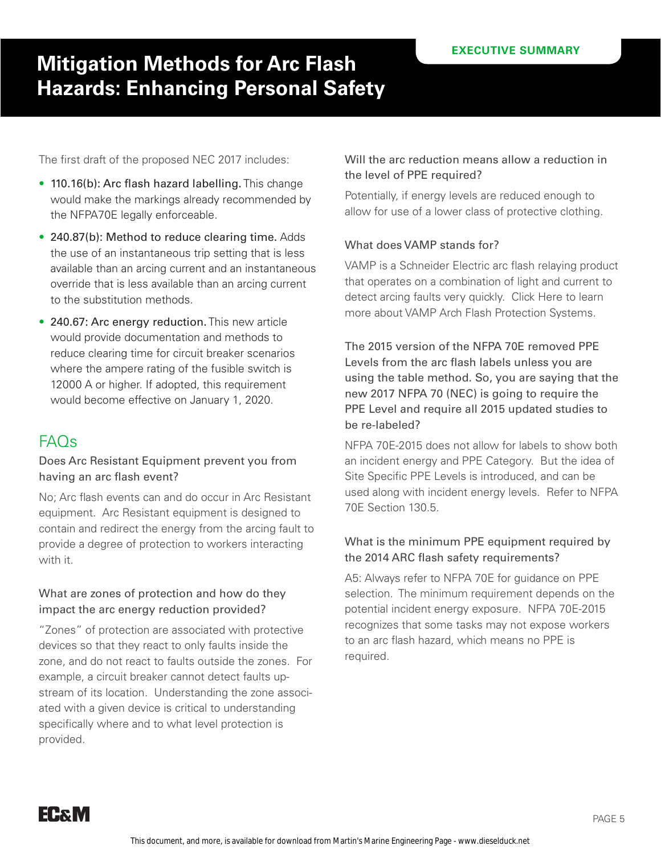The first draft of the proposed NEC 2017 includes:

- 110.16(b): Arc flash hazard labelling. This change would make the markings already recommended by the NFPA70E legally enforceable.
- 240.87(b): Method to reduce clearing time. Adds the use of an instantaneous trip setting that is less available than an arcing current and an instantaneous override that is less available than an arcing current to the substitution methods.
- 240.67: Arc energy reduction. This new article would provide documentation and methods to reduce clearing time for circuit breaker scenarios where the ampere rating of the fusible switch is 12000 A or higher. If adopted, this requirement would become effective on January 1, 2020.

## FAQs

#### Does Arc Resistant Equipment prevent you from having an arc flash event?

No; Arc flash events can and do occur in Arc Resistant equipment. Arc Resistant equipment is designed to contain and redirect the energy from the arcing fault to provide a degree of protection to workers interacting with it.

#### What are zones of protection and how do they impact the arc energy reduction provided?

"Zones" of protection are associated with protective devices so that they react to only faults inside the zone, and do not react to faults outside the zones. For example, a circuit breaker cannot detect faults upstream of its location. Understanding the zone associated with a given device is critical to understanding specifically where and to what level protection is provided.

#### Will the arc reduction means allow a reduction in the level of PPE required?

Potentially, if energy levels are reduced enough to allow for use of a lower class of protective clothing.

#### What does VAMP stands for?

VAMP is a Schneider Electric arc flash relaying product that operates on a combination of light and current to detect arcing faults very quickly. Click Here to learn more about VAMP Arch Flash Protection Systems.

The 2015 version of the NFPA 70E removed PPE Levels from the arc flash labels unless you are using the table method. So, you are saying that the new 2017 NFPA 70 (NEC) is going to require the PPE Level and require all 2015 updated studies to be re-labeled?

NFPA 70E-2015 does not allow for labels to show both an incident energy and PPE Category. But the idea of Site Specific PPE Levels is introduced, and can be used along with incident energy levels. Refer to NFPA 70E Section 130.5.

#### What is the minimum PPE equipment required by the 2014 ARC flash safety requirements?

A5: Always refer to NFPA 70E for guidance on PPE selection. The minimum requirement depends on the potential incident energy exposure. NFPA 70E-2015 recognizes that some tasks may not expose workers to an arc flash hazard, which means no PPE is required.

**EC&M**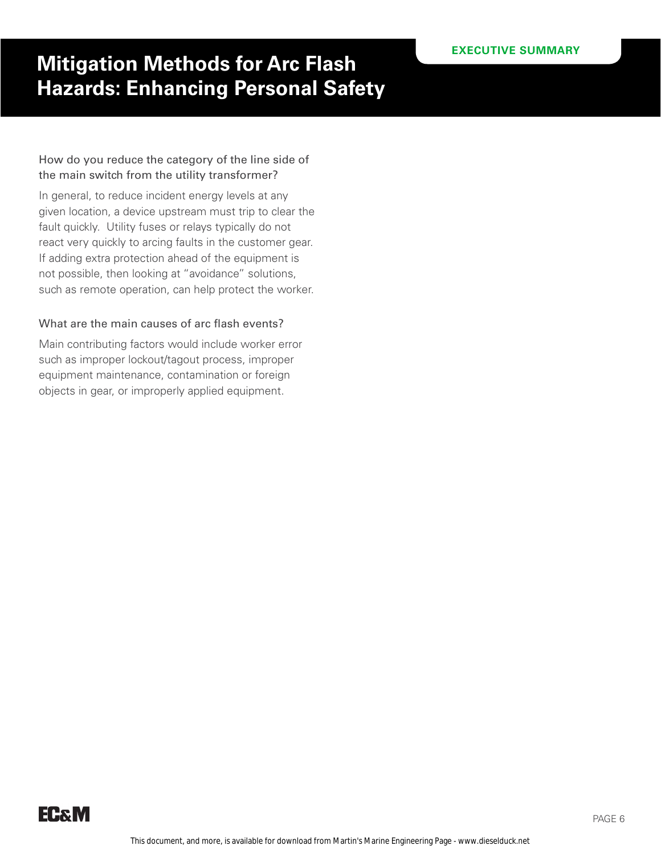#### How do you reduce the category of the line side of the main switch from the utility transformer?

In general, to reduce incident energy levels at any given location, a device upstream must trip to clear the fault quickly. Utility fuses or relays typically do not react very quickly to arcing faults in the customer gear. If adding extra protection ahead of the equipment is not possible, then looking at "avoidance" solutions, such as remote operation, can help protect the worker.

#### What are the main causes of arc flash events?

Main contributing factors would include worker error such as improper lockout/tagout process, improper equipment maintenance, contamination or foreign objects in gear, or improperly applied equipment.